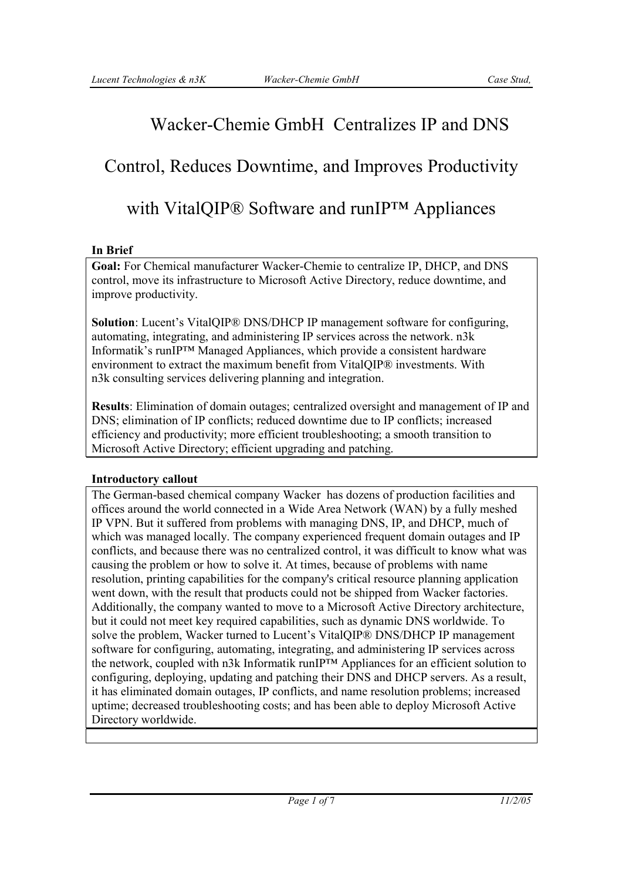## Wacker-Chemie GmbH Centralizes IP and DNS

# Control, Reduces Downtime, and Improves Productivity

### with VitalQIP® Software and runIP™ Appliances

### **In Brief**

**Goal:** For Chemical manufacturer Wacker-Chemie to centralize IP, DHCP, and DNS control, move its infrastructure to Microsoft Active Directory, reduce downtime, and improve productivity.

**Solution**: Lucent's VitalQIP® DNS/DHCP IP management software for configuring, automating, integrating, and administering IP services across the network. n3k Informatik's runIP™ Managed Appliances, which provide a consistent hardware environment to extract the maximum benefit from VitalQIP® investments. With n3k consulting services delivering planning and integration.

**Results**: Elimination of domain outages; centralized oversight and management of IP and DNS; elimination of IP conflicts; reduced downtime due to IP conflicts; increased efficiency and productivity; more efficient troubleshooting; a smooth transition to Microsoft Active Directory; efficient upgrading and patching.

### **Introductory callout**

The German-based chemical company Wacker has dozens of production facilities and offices around the world connected in a Wide Area Network (WAN) by a fully meshed IP VPN. But it suffered from problems with managing DNS, IP, and DHCP, much of which was managed locally. The company experienced frequent domain outages and IP conflicts, and because there was no centralized control, it was difficult to know what was causing the problem or how to solve it. At times, because of problems with name resolution, printing capabilities for the company's critical resource planning application went down, with the result that products could not be shipped from Wacker factories. Additionally, the company wanted to move to a Microsoft Active Directory architecture, but it could not meet key required capabilities, such as dynamic DNS worldwide. To solve the problem, Wacker turned to Lucent's VitalQIP® DNS/DHCP IP management software for configuring, automating, integrating, and administering IP services across the network, coupled with n3k Informatik runIP™ Appliances for an efficient solution to configuring, deploying, updating and patching their DNS and DHCP servers. As a result, it has eliminated domain outages, IP conflicts, and name resolution problems; increased uptime; decreased troubleshooting costs; and has been able to deploy Microsoft Active Directory worldwide.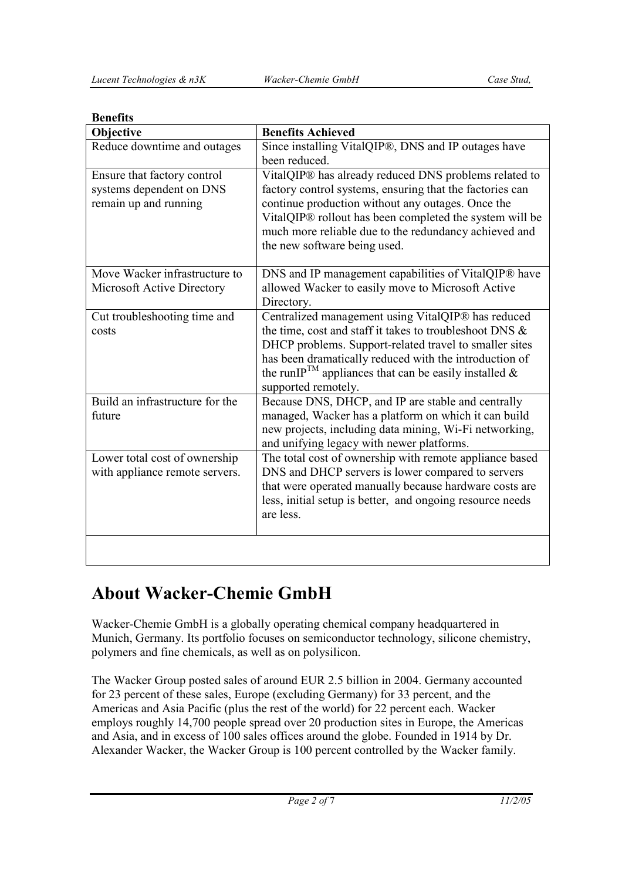| Objective                                                                        | <b>Benefits Achieved</b>                                                                                                                                                                                                                                                                                                         |
|----------------------------------------------------------------------------------|----------------------------------------------------------------------------------------------------------------------------------------------------------------------------------------------------------------------------------------------------------------------------------------------------------------------------------|
| Reduce downtime and outages                                                      | Since installing VitalQIP®, DNS and IP outages have<br>been reduced.                                                                                                                                                                                                                                                             |
| Ensure that factory control<br>systems dependent on DNS<br>remain up and running | VitalQIP® has already reduced DNS problems related to<br>factory control systems, ensuring that the factories can<br>continue production without any outages. Once the<br>VitalQIP® rollout has been completed the system will be<br>much more reliable due to the redundancy achieved and<br>the new software being used.       |
| Move Wacker infrastructure to<br>Microsoft Active Directory                      | DNS and IP management capabilities of VitalQIP® have<br>allowed Wacker to easily move to Microsoft Active<br>Directory.                                                                                                                                                                                                          |
| Cut troubleshooting time and<br>costs                                            | Centralized management using VitalQIP® has reduced<br>the time, cost and staff it takes to troubleshoot DNS &<br>DHCP problems. Support-related travel to smaller sites<br>has been dramatically reduced with the introduction of<br>the runIP <sup>TM</sup> appliances that can be easily installed $\&$<br>supported remotely. |
| Build an infrastructure for the<br>future                                        | Because DNS, DHCP, and IP are stable and centrally<br>managed, Wacker has a platform on which it can build<br>new projects, including data mining, Wi-Fi networking,<br>and unifying legacy with newer platforms.                                                                                                                |
| Lower total cost of ownership<br>with appliance remote servers.                  | The total cost of ownership with remote appliance based<br>DNS and DHCP servers is lower compared to servers<br>that were operated manually because hardware costs are<br>less, initial setup is better, and ongoing resource needs<br>are less.                                                                                 |
|                                                                                  |                                                                                                                                                                                                                                                                                                                                  |

### **Benefits**

## **About Wacker-Chemie GmbH**

Wacker-Chemie GmbH is a globally operating chemical company headquartered in Munich, Germany. Its portfolio focuses on semiconductor technology, silicone chemistry, polymers and fine chemicals, as well as on polysilicon.

The Wacker Group posted sales of around EUR 2.5 billion in 2004. Germany accounted for 23 percent of these sales, Europe (excluding Germany) for 33 percent, and the Americas and Asia Pacific (plus the rest of the world) for 22 percent each. Wacker employs roughly 14,700 people spread over 20 production sites in Europe, the Americas and Asia, and in excess of 100 sales offices around the globe. Founded in 1914 by Dr. Alexander Wacker, the Wacker Group is 100 percent controlled by the Wacker family.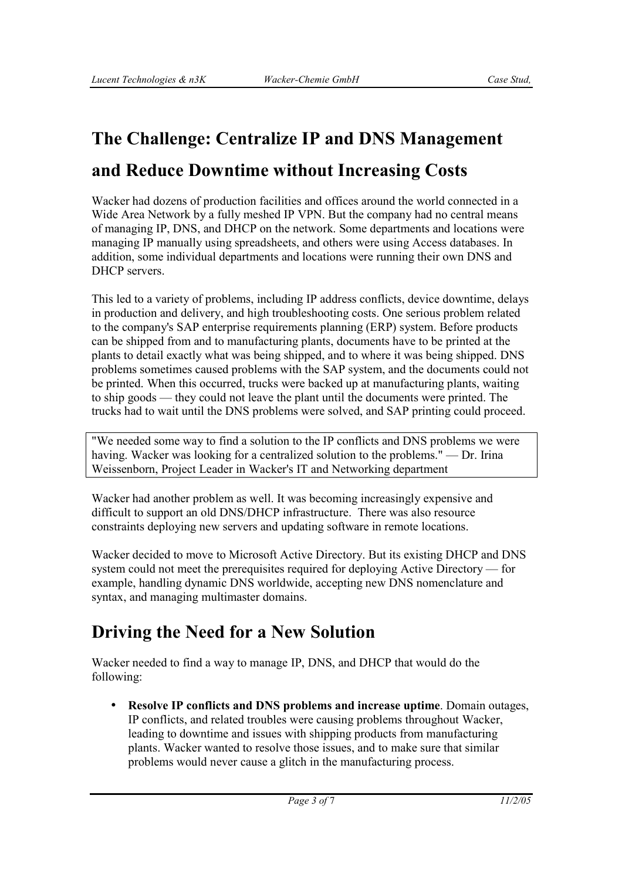# **The Challenge: Centralize IP and DNS Management and Reduce Downtime without Increasing Costs**

Wacker had dozens of production facilities and offices around the world connected in a Wide Area Network by a fully meshed IP VPN. But the company had no central means of managing IP, DNS, and DHCP on the network. Some departments and locations were managing IP manually using spreadsheets, and others were using Access databases. In addition, some individual departments and locations were running their own DNS and DHCP servers.

This led to a variety of problems, including IP address conflicts, device downtime, delays in production and delivery, and high troubleshooting costs. One serious problem related to the company's SAP enterprise requirements planning (ERP) system. Before products can be shipped from and to manufacturing plants, documents have to be printed at the plants to detail exactly what was being shipped, and to where it was being shipped. DNS problems sometimes caused problems with the SAP system, and the documents could not be printed. When this occurred, trucks were backed up at manufacturing plants, waiting to ship goods — they could not leave the plant until the documents were printed. The trucks had to wait until the DNS problems were solved, and SAP printing could proceed.

"We needed some way to find a solution to the IP conflicts and DNS problems we were having. Wacker was looking for a centralized solution to the problems." — Dr. Irina Weissenborn, Project Leader in Wacker's IT and Networking department

Wacker had another problem as well. It was becoming increasingly expensive and difficult to support an old DNS/DHCP infrastructure. There was also resource constraints deploying new servers and updating software in remote locations.

Wacker decided to move to Microsoft Active Directory. But its existing DHCP and DNS system could not meet the prerequisites required for deploying Active Directory — for example, handling dynamic DNS worldwide, accepting new DNS nomenclature and syntax, and managing multimaster domains.

# **Driving the Need for a New Solution**

Wacker needed to find a way to manage IP, DNS, and DHCP that would do the following:

• **Resolve IP conflicts and DNS problems and increase uptime**. Domain outages, IP conflicts, and related troubles were causing problems throughout Wacker, leading to downtime and issues with shipping products from manufacturing plants. Wacker wanted to resolve those issues, and to make sure that similar problems would never cause a glitch in the manufacturing process.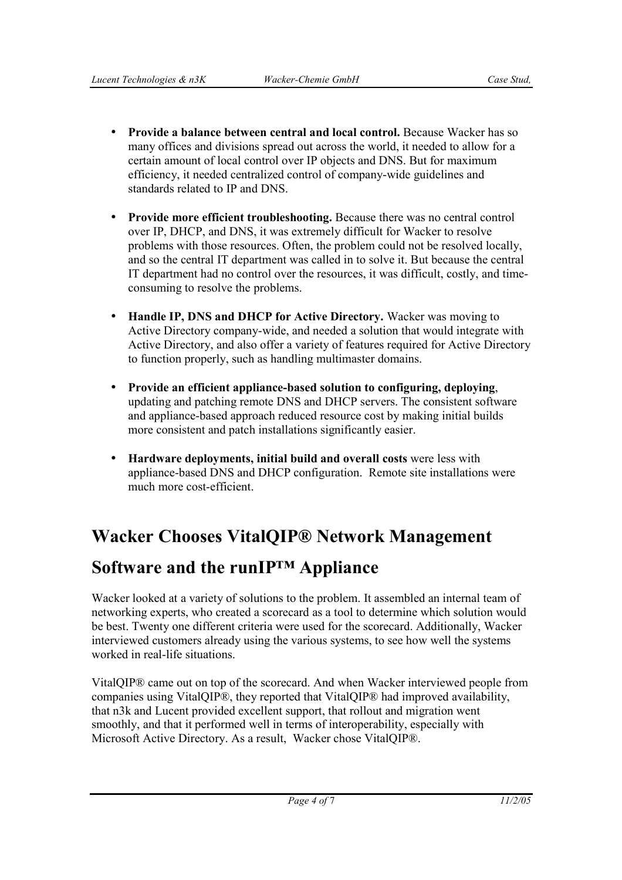- **Provide a balance between central and local control.** Because Wacker has so many offices and divisions spread out across the world, it needed to allow for a certain amount of local control over IP objects and DNS. But for maximum efficiency, it needed centralized control of company-wide guidelines and standards related to IP and DNS.
- **Provide more efficient troubleshooting.** Because there was no central control over IP, DHCP, and DNS, it was extremely difficult for Wacker to resolve problems with those resources. Often, the problem could not be resolved locally, and so the central IT department was called in to solve it. But because the central IT department had no control over the resources, it was difficult, costly, and timeconsuming to resolve the problems.
- **Handle IP, DNS and DHCP for Active Directory.** Wacker was moving to Active Directory company-wide, and needed a solution that would integrate with Active Directory, and also offer a variety of features required for Active Directory to function properly, such as handling multimaster domains.
- **Provide an efficient appliance-based solution to configuring, deploying**, updating and patching remote DNS and DHCP servers. The consistent software and appliance-based approach reduced resource cost by making initial builds more consistent and patch installations significantly easier.
- **Hardware deployments, initial build and overall costs** were less with appliance-based DNS and DHCP configuration. Remote site installations were much more cost-efficient.

# **Wacker Chooses VitalQIP® Network Management**

## **Software and the runIP™ Appliance**

Wacker looked at a variety of solutions to the problem. It assembled an internal team of networking experts, who created a scorecard as a tool to determine which solution would be best. Twenty one different criteria were used for the scorecard. Additionally, Wacker interviewed customers already using the various systems, to see how well the systems worked in real-life situations.

VitalQIP® came out on top of the scorecard. And when Wacker interviewed people from companies using VitalQIP®, they reported that VitalQIP® had improved availability, that n3k and Lucent provided excellent support, that rollout and migration went smoothly, and that it performed well in terms of interoperability, especially with Microsoft Active Directory. As a result, Wacker chose VitalQIP®.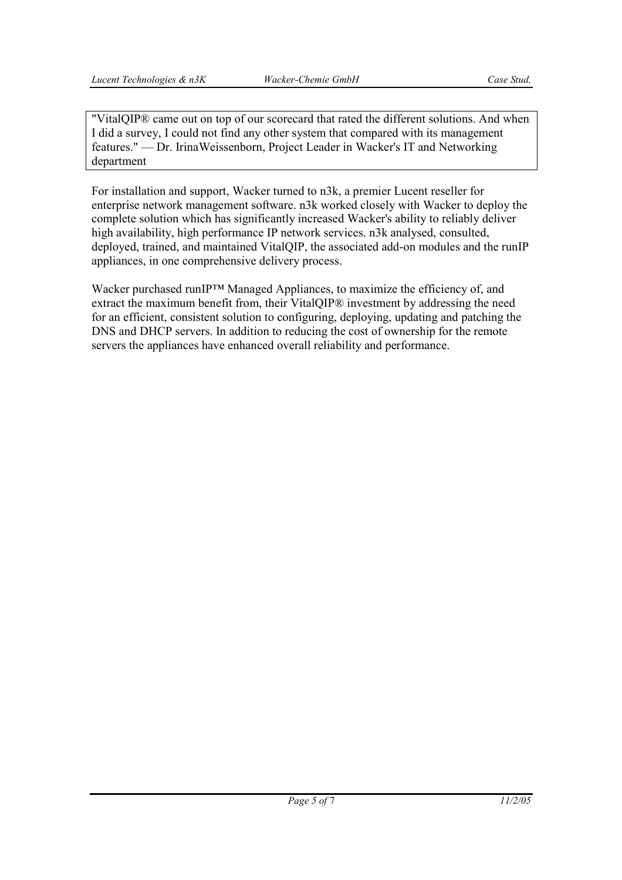"VitalQIP® came out on top of our scorecard that rated the different solutions. And when I did a survey, I could not find any other system that compared with its management features." — Dr. IrinaWeissenborn, Project Leader in Wacker's IT and Networking department

For installation and support, Wacker turned to n3k, a premier Lucent reseller for enterprise network management software. n3k worked closely with Wacker to deploy the complete solution which has significantly increased Wacker's ability to reliably deliver high availability, high performance IP network services. n3k analysed, consulted, deployed, trained, and maintained VitalQIP, the associated add-on modules and the runIP appliances, in one comprehensive delivery process.

Wacker purchased runIP™ Managed Appliances, to maximize the efficiency of, and extract the maximum benefit from, their VitalQIP® investment by addressing the need for an efficient, consistent solution to configuring, deploying, updating and patching the DNS and DHCP servers. In addition to reducing the cost of ownership for the remote servers the appliances have enhanced overall reliability and performance.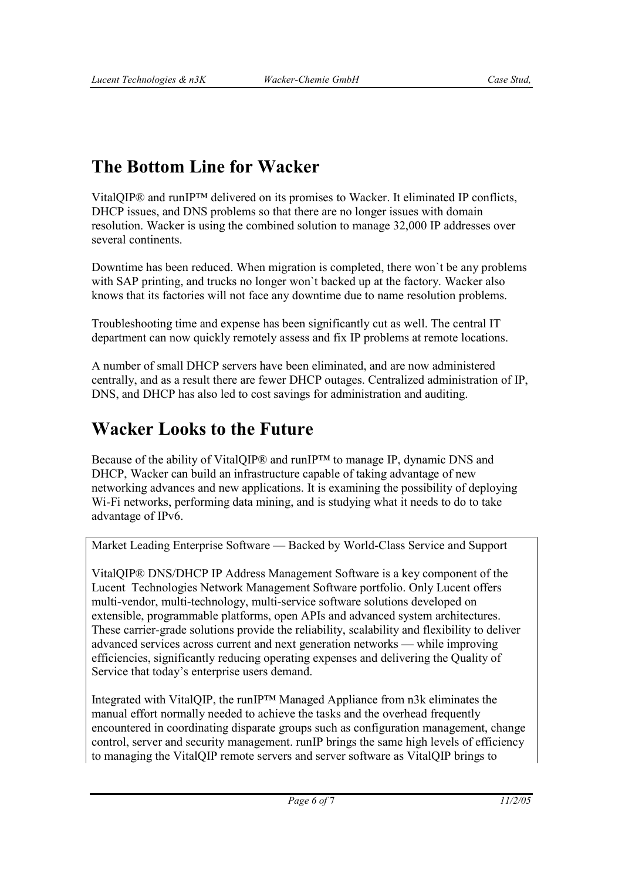# **The Bottom Line for Wacker**

VitalQIP® and runIP™ delivered on its promises to Wacker. It eliminated IP conflicts, DHCP issues, and DNS problems so that there are no longer issues with domain resolution. Wacker is using the combined solution to manage 32,000 IP addresses over several continents.

Downtime has been reduced. When migration is completed, there won`t be any problems with SAP printing, and trucks no longer won`t backed up at the factory. Wacker also knows that its factories will not face any downtime due to name resolution problems.

Troubleshooting time and expense has been significantly cut as well. The central IT department can now quickly remotely assess and fix IP problems at remote locations.

A number of small DHCP servers have been eliminated, and are now administered centrally, and as a result there are fewer DHCP outages. Centralized administration of IP, DNS, and DHCP has also led to cost savings for administration and auditing.

## **Wacker Looks to the Future**

Because of the ability of VitalQIP® and runIP™ to manage IP, dynamic DNS and DHCP, Wacker can build an infrastructure capable of taking advantage of new networking advances and new applications. It is examining the possibility of deploying Wi-Fi networks, performing data mining, and is studying what it needs to do to take advantage of IPv6.

Market Leading Enterprise Software — Backed by World-Class Service and Support

VitalQIP® DNS/DHCP IP Address Management Software is a key component of the Lucent Technologies Network Management Software portfolio. Only Lucent offers multi-vendor, multi-technology, multi-service software solutions developed on extensible, programmable platforms, open APIs and advanced system architectures. These carrier-grade solutions provide the reliability, scalability and flexibility to deliver advanced services across current and next generation networks — while improving efficiencies, significantly reducing operating expenses and delivering the Quality of Service that today's enterprise users demand.

Integrated with VitalQIP, the runIP™ Managed Appliance from n3k eliminates the manual effort normally needed to achieve the tasks and the overhead frequently encountered in coordinating disparate groups such as configuration management, change control, server and security management. runIP brings the same high levels of efficiency to managing the VitalQIP remote servers and server software as VitalQIP brings to